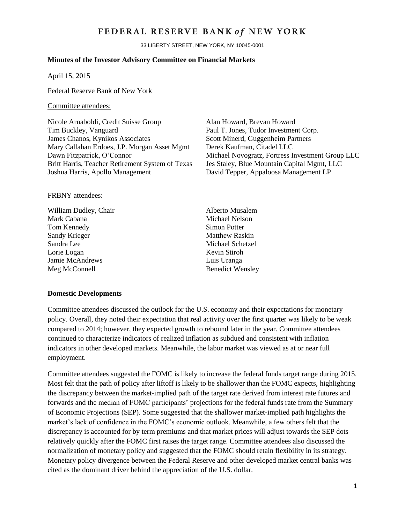# FEDERAL RESERVE BANK of NEW YORK

33 LIBERTY STREET, NEW YORK, NY 10045-0001

## **Minutes of the Investor Advisory Committee on Financial Markets**

April 15, 2015

Federal Reserve Bank of New York

# Committee attendees:

Nicole Arnaboldi, Credit Suisse Group Alan Howard, Brevan Howard Tim Buckley, Vanguard Paul T. Jones, Tudor Investment Corp. James Chanos, Kynikos Associates Scott Minerd, Guggenheim Partners Mary Callahan Erdoes, J.P. Morgan Asset Mgmt Derek Kaufman, Citadel LLC Britt Harris, Teacher Retirement System of Texas Jes Staley, Blue Mountain Capital Mgmt, LLC Joshua Harris, Apollo Management David Tepper, Appaloosa Management LP

Dawn Fitzpatrick, O'Connor Michael Novogratz, Fortress Investment Group LLC

#### FRBNY attendees:

William Dudley, Chair Alberto Musalem Mark Cabana Michael Nelson Tom Kennedy Simon Potter Sandy Krieger Matthew Raskin Sandra Lee Michael Schetzel Lorie Logan Kevin Stiroh Jamie McAndrews Luis Uranga Meg McConnell Benedict Wensley

#### **Domestic Developments**

Committee attendees discussed the outlook for the U.S. economy and their expectations for monetary policy. Overall, they noted their expectation that real activity over the first quarter was likely to be weak compared to 2014; however, they expected growth to rebound later in the year. Committee attendees continued to characterize indicators of realized inflation as subdued and consistent with inflation indicators in other developed markets. Meanwhile, the labor market was viewed as at or near full employment.

Committee attendees suggested the FOMC is likely to increase the federal funds target range during 2015. Most felt that the path of policy after liftoff is likely to be shallower than the FOMC expects, highlighting the discrepancy between the market-implied path of the target rate derived from interest rate futures and forwards and the median of FOMC participants' projections for the federal funds rate from the Summary of Economic Projections (SEP). Some suggested that the shallower market-implied path highlights the market's lack of confidence in the FOMC's economic outlook. Meanwhile, a few others felt that the discrepancy is accounted for by term premiums and that market prices will adjust towards the SEP dots relatively quickly after the FOMC first raises the target range. Committee attendees also discussed the normalization of monetary policy and suggested that the FOMC should retain flexibility in its strategy. Monetary policy divergence between the Federal Reserve and other developed market central banks was cited as the dominant driver behind the appreciation of the U.S. dollar.